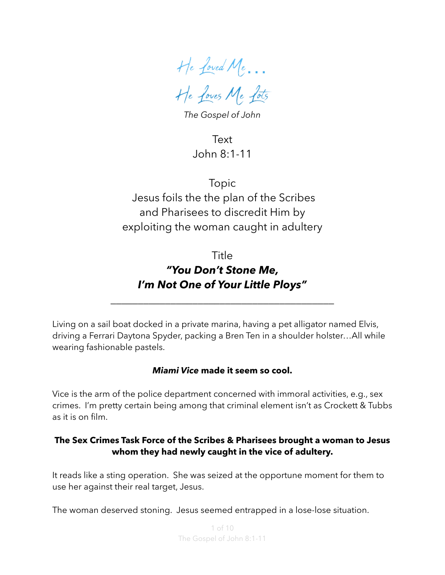He Loved Me… He Loves Me Lots

*The Gospel of John*

Text John 8:1-11

Topic Jesus foils the the plan of the Scribes and Pharisees to discredit Him by exploiting the woman caught in adultery

# Title *"You Don't Stone Me, I'm Not One of Your Little Ploys"*

\_\_\_\_\_\_\_\_\_\_\_\_\_\_\_\_\_\_\_\_\_\_\_\_\_\_\_\_\_\_\_\_\_\_\_\_\_\_\_\_\_

Living on a sail boat docked in a private marina, having a pet alligator named Elvis, driving a Ferrari Daytona Spyder, packing a Bren Ten in a shoulder holster…All while wearing fashionable pastels.

#### *Miami Vice* **made it seem so cool.**

Vice is the arm of the police department concerned with immoral activities, e.g., sex crimes. I'm pretty certain being among that criminal element isn't as Crockett & Tubbs as it is on film.

#### **The Sex Crimes Task Force of the Scribes & Pharisees brought a woman to Jesus whom they had newly caught in the vice of adultery.**

It reads like a sting operation. She was seized at the opportune moment for them to use her against their real target, Jesus.

The woman deserved stoning. Jesus seemed entrapped in a lose-lose situation.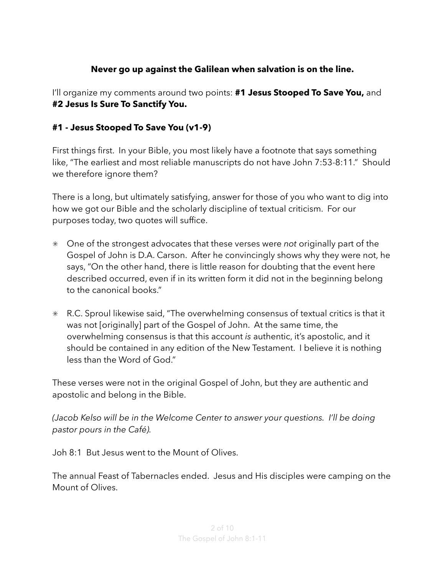### **Never go up against the Galilean when salvation is on the line.**

I'll organize my comments around two points: **#1 Jesus Stooped To Save You,** and **#2 Jesus Is Sure To Sanctify You.** 

### **#1 - Jesus Stooped To Save You (v1-9)**

First things first. In your Bible, you most likely have a footnote that says something like, "The earliest and most reliable manuscripts do not have John 7:53-8:11." Should we therefore ignore them?

There is a long, but ultimately satisfying, answer for those of you who want to dig into how we got our Bible and the scholarly discipline of textual criticism. For our purposes today, two quotes will suffice.

- One of the strongest advocates that these verses were *not* originally part of the Gospel of John is D.A. Carson. After he convincingly shows why they were not, he says, "On the other hand, there is little reason for doubting that the event here described occurred, even if in its written form it did not in the beginning belong to the canonical books."
- R.C. Sproul likewise said, "The overwhelming consensus of textual critics is that it was not [originally] part of the Gospel of John. At the same time, the overwhelming consensus is that this account *is* authentic, it's apostolic, and it should be contained in any edition of the New Testament. I believe it is nothing less than the Word of God."

These verses were not in the original Gospel of John, but they are authentic and apostolic and belong in the Bible.

*(Jacob Kelso will be in the Welcome Center to answer your questions. I'll be doing pastor pours in the Café).* 

Joh 8:1 But Jesus went to the Mount of Olives.

The annual Feast of Tabernacles ended. Jesus and His disciples were camping on the Mount of Olives.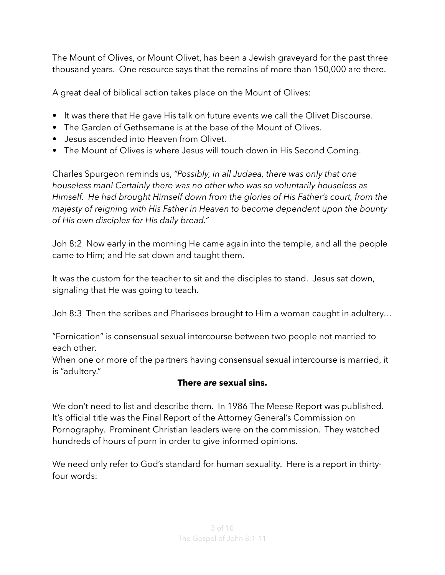The Mount of Olives, or Mount Olivet, has been a Jewish graveyard for the past three thousand years. One resource says that the remains of more than 150,000 are there.

A great deal of biblical action takes place on the Mount of Olives:

- It was there that He gave His talk on future events we call the Olivet Discourse.
- The Garden of Gethsemane is at the base of the Mount of Olives.
- Jesus ascended into Heaven from Olivet.
- The Mount of Olives is where Jesus will touch down in His Second Coming.

Charles Spurgeon reminds us, *"Possibly, in all Judaea, there was only that one houseless man! Certainly there was no other who was so voluntarily houseless as Himself. He had brought Himself down from the glories of His Father's court, from the majesty of reigning with His Father in Heaven to become dependent upon the bounty of His own disciples for His daily bread."*

Joh 8:2 Now early in the morning He came again into the temple, and all the people came to Him; and He sat down and taught them.

It was the custom for the teacher to sit and the disciples to stand. Jesus sat down, signaling that He was going to teach.

Joh 8:3 Then the scribes and Pharisees brought to Him a woman caught in adultery…

"Fornication" is consensual sexual intercourse between two people not married to each other.

When one or more of the partners having consensual sexual intercourse is married, it is "adultery."

## **There** *are* **sexual sins.**

We don't need to list and describe them. In 1986 The Meese Report was published. It's official title was the Final Report of the Attorney General's Commission on Pornography. Prominent Christian leaders were on the commission. They watched hundreds of hours of porn in order to give informed opinions.

We need only refer to God's standard for human sexuality. Here is a report in thirtyfour words: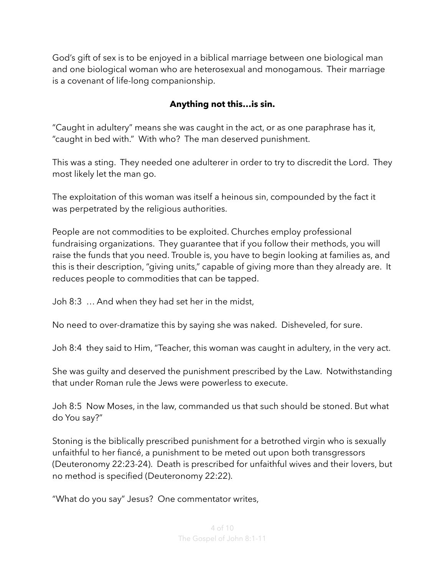God's gift of sex is to be enjoyed in a biblical marriage between one biological man and one biological woman who are heterosexual and monogamous. Their marriage is a covenant of life-long companionship.

## **Anything not this…is sin.**

"Caught in adultery" means she was caught in the act, or as one paraphrase has it, "caught in bed with." With who? The man deserved punishment.

This was a sting. They needed one adulterer in order to try to discredit the Lord. They most likely let the man go.

The exploitation of this woman was itself a heinous sin, compounded by the fact it was perpetrated by the religious authorities.

People are not commodities to be exploited. Churches employ professional fundraising organizations. They guarantee that if you follow their methods, you will raise the funds that you need. Trouble is, you have to begin looking at families as, and this is their description, "giving units," capable of giving more than they already are. It reduces people to commodities that can be tapped.

Joh 8:3 … And when they had set her in the midst,

No need to over-dramatize this by saying she was naked. Disheveled, for sure.

Joh 8:4 they said to Him, "Teacher, this woman was caught in adultery, in the very act.

She was guilty and deserved the punishment prescribed by the Law. Notwithstanding that under Roman rule the Jews were powerless to execute.

Joh 8:5 Now Moses, in the law, commanded us that such should be stoned. But what do You say?"

Stoning is the biblically prescribed punishment for a betrothed virgin who is sexually unfaithful to her fiancé, a punishment to be meted out upon both transgressors (Deuteronomy 22:23-24). Death is prescribed for unfaithful wives and their lovers, but no method is specified (Deuteronomy 22:22).

"What do you say" Jesus? One commentator writes,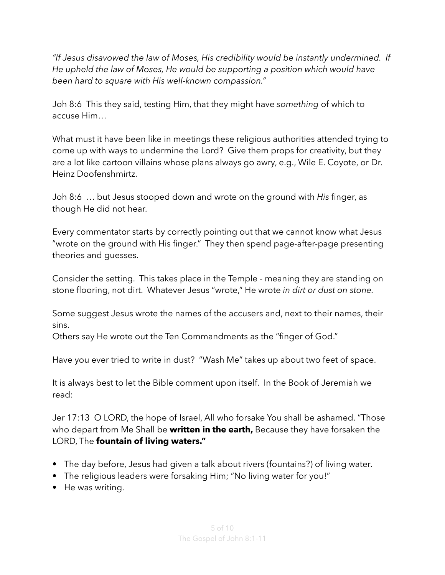*"If Jesus disavowed the law of Moses, His credibility would be instantly undermined. If He upheld the law of Moses, He would be supporting a position which would have been hard to square with His well-known compassion."* 

Joh 8:6 This they said, testing Him, that they might have *something* of which to accuse Him…

What must it have been like in meetings these religious authorities attended trying to come up with ways to undermine the Lord? Give them props for creativity, but they are a lot like cartoon villains whose plans always go awry, e.g., Wile E. Coyote, or Dr. Heinz Doofenshmirtz.

Joh 8:6 … but Jesus stooped down and wrote on the ground with *His* finger, as though He did not hear.

Every commentator starts by correctly pointing out that we cannot know what Jesus "wrote on the ground with His finger." They then spend page-after-page presenting theories and guesses.

Consider the setting. This takes place in the Temple - meaning they are standing on stone flooring, not dirt. Whatever Jesus "wrote," He wrote *in dirt or dust on stone.* 

Some suggest Jesus wrote the names of the accusers and, next to their names, their sins.

Others say He wrote out the Ten Commandments as the "finger of God."

Have you ever tried to write in dust? "Wash Me" takes up about two feet of space.

It is always best to let the Bible comment upon itself. In the Book of Jeremiah we read:

Jer 17:13 O LORD, the hope of Israel, All who forsake You shall be ashamed. "Those who depart from Me Shall be **written in the earth,** Because they have forsaken the LORD, The **fountain of living waters."**

- The day before, Jesus had given a talk about rivers (fountains?) of living water.
- The religious leaders were forsaking Him; "No living water for you!"
- He was writing.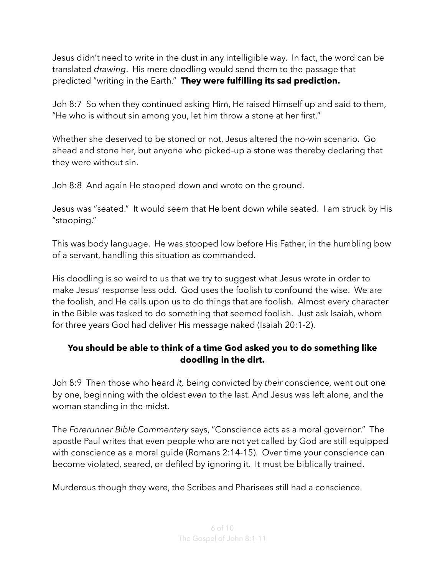Jesus didn't need to write in the dust in any intelligible way. In fact, the word can be translated *drawing*. His mere doodling would send them to the passage that predicted "writing in the Earth." **They were fulfilling its sad prediction.** 

Joh 8:7 So when they continued asking Him, He raised Himself up and said to them, "He who is without sin among you, let him throw a stone at her first."

Whether she deserved to be stoned or not, Jesus altered the no-win scenario. Go ahead and stone her, but anyone who picked-up a stone was thereby declaring that they were without sin.

Joh 8:8 And again He stooped down and wrote on the ground.

Jesus was "seated." It would seem that He bent down while seated. I am struck by His "stooping."

This was body language. He was stooped low before His Father, in the humbling bow of a servant, handling this situation as commanded.

His doodling is so weird to us that we try to suggest what Jesus wrote in order to make Jesus' response less odd. God uses the foolish to confound the wise. We are the foolish, and He calls upon us to do things that are foolish. Almost every character in the Bible was tasked to do something that seemed foolish. Just ask Isaiah, whom for three years God had deliver His message naked (Isaiah 20:1-2).

### **You should be able to think of a time God asked you to do something like doodling in the dirt.**

Joh 8:9 Then those who heard *it,* being convicted by *their* conscience, went out one by one, beginning with the oldest *even* to the last. And Jesus was left alone, and the woman standing in the midst.

The *Forerunner Bible Commentary* says, "Conscience acts as a moral governor." The apostle Paul writes that even people who are not yet called by God are still equipped with conscience as a moral guide (Romans 2:14-15). Over time your conscience can become violated, seared, or defiled by ignoring it. It must be biblically trained.

Murderous though they were, the Scribes and Pharisees still had a conscience.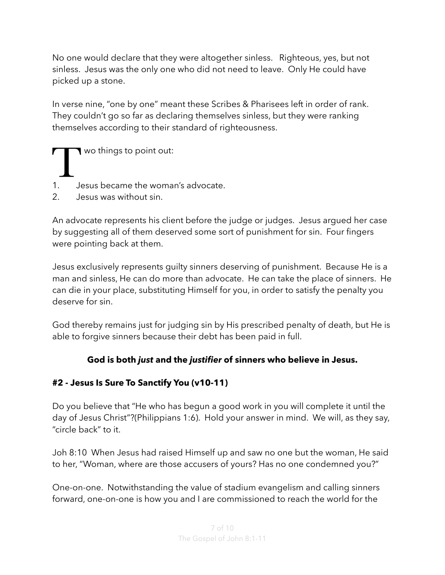No one would declare that they were altogether sinless. Righteous, yes, but not sinless. Jesus was the only one who did not need to leave. Only He could have picked up a stone.

In verse nine, "one by one" meant these Scribes & Pharisees left in order of rank. They couldn't go so far as declaring themselves sinless, but they were ranking themselves according to their standard of righteousness.

- T wo things to point out:<br>1. Sesus became the woman
- 1. Jesus became the woman's advocate.
- 2. Jesus was without sin.

An advocate represents his client before the judge or judges. Jesus argued her case by suggesting all of them deserved some sort of punishment for sin. Four fingers were pointing back at them.

Jesus exclusively represents guilty sinners deserving of punishment. Because He is a man and sinless, He can do more than advocate. He can take the place of sinners. He can die in your place, substituting Himself for you, in order to satisfy the penalty you deserve for sin.

God thereby remains just for judging sin by His prescribed penalty of death, but He is able to forgive sinners because their debt has been paid in full.

## **God is both** *just* **and the** *justifier* **of sinners who believe in Jesus.**

## **#2 - Jesus Is Sure To Sanctify You (v10-11)**

Do you believe that "He who has begun a good work in you will complete it until the day of Jesus Christ"?(Philippians 1:6). Hold your answer in mind. We will, as they say, "circle back" to it.

Joh 8:10 When Jesus had raised Himself up and saw no one but the woman, He said to her, "Woman, where are those accusers of yours? Has no one condemned you?"

One-on-one. Notwithstanding the value of stadium evangelism and calling sinners forward, one-on-one is how you and I are commissioned to reach the world for the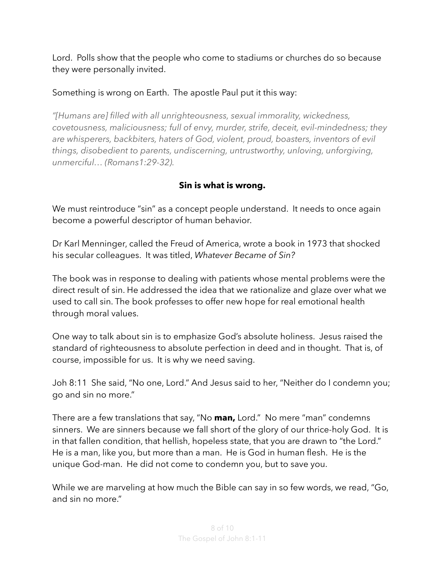Lord. Polls show that the people who come to stadiums or churches do so because they were personally invited.

## Something is wrong on Earth. The apostle Paul put it this way:

*"[Humans are] filled with all unrighteousness, sexual immorality, wickedness, covetousness, maliciousness; full of envy, murder, strife, deceit, evil-mindedness; they are whisperers, backbiters, haters of God, violent, proud, boasters, inventors of evil things, disobedient to parents, undiscerning, untrustworthy, unloving, unforgiving, unmerciful… (Romans1:29-32).* 

### **Sin is what is wrong.**

We must reintroduce "sin" as a concept people understand. It needs to once again become a powerful descriptor of human behavior.

Dr Karl Menninger, called the Freud of America, wrote a book in 1973 that shocked his secular colleagues. It was titled, *Whatever Became of Sin?*

The book was in response to dealing with patients whose mental problems were the direct result of sin. He addressed the idea that we rationalize and glaze over what we used to call sin. The book professes to offer new hope for real emotional health through moral values.

One way to talk about sin is to emphasize God's absolute holiness. Jesus raised the standard of righteousness to absolute perfection in deed and in thought. That is, of course, impossible for us. It is why we need saving.

Joh 8:11 She said, "No one, Lord." And Jesus said to her, "Neither do I condemn you; go and sin no more."

There are a few translations that say, "No **man,** Lord." No mere "man" condemns sinners. We are sinners because we fall short of the glory of our thrice-holy God. It is in that fallen condition, that hellish, hopeless state, that you are drawn to "the Lord." He is a man, like you, but more than a man. He is God in human flesh. He is the unique God-man. He did not come to condemn you, but to save you.

While we are marveling at how much the Bible can say in so few words, we read, "Go, and sin no more."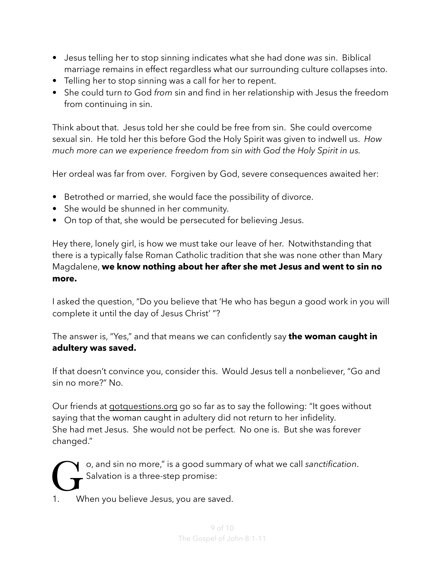- Jesus telling her to stop sinning indicates what she had done *was* sin. Biblical marriage remains in effect regardless what our surrounding culture collapses into.
- Telling her to stop sinning was a call for her to repent.
- She could turn *to* God *from* sin and find in her relationship with Jesus the freedom from continuing in sin.

Think about that. Jesus told her she could be free from sin. She could overcome sexual sin. He told her this before God the Holy Spirit was given to indwell us. *How much more can we experience freedom from sin with God the Holy Spirit in us.* 

Her ordeal was far from over. Forgiven by God, severe consequences awaited her:

- Betrothed or married, she would face the possibility of divorce.
- She would be shunned in her community.
- On top of that, she would be persecuted for believing Jesus.

Hey there, lonely girl, is how we must take our leave of her. Notwithstanding that there is a typically false Roman Catholic tradition that she was none other than Mary Magdalene, **we know nothing about her after she met Jesus and went to sin no more.** 

I asked the question, "Do you believe that 'He who has begun a good work in you will complete it until the day of Jesus Christ' "?

The answer is, "Yes," and that means we can confidently say **the woman caught in adultery was saved.** 

If that doesn't convince you, consider this. Would Jesus tell a nonbeliever, "Go and sin no more?" No.

Our friends at [gotquestions.org](http://gotquestions.org) go so far as to say the following: "It goes without saying that the woman caught in adultery did not return to her infidelity. She had met Jesus. She would not be perfect. No one is. But she was forever changed."

Go, and sin no more," is a good summary of what we call *sanctification*.<br>
Salvation is a three-step promise:<br>
1. When you believe Jesus, you are saved. Salvation is a three-step promise:

When you believe Jesus, you are saved.